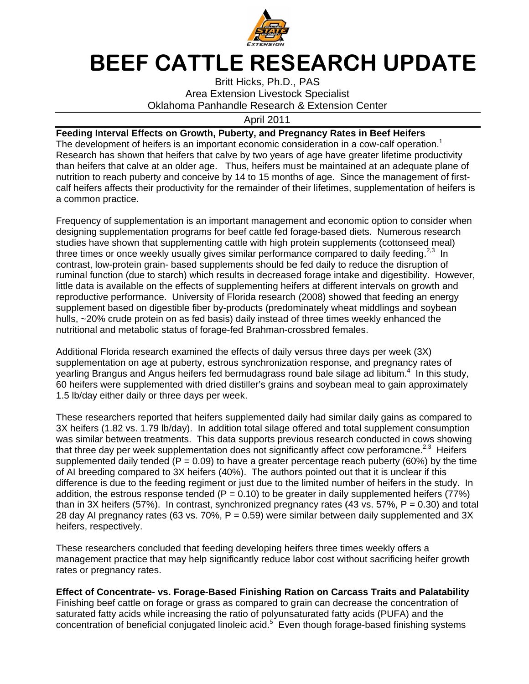

## BEEF CATTLE RESEARCH UPDATE

Oklahoma Panhandle Research & Extension Center Britt Hicks Hicks, Ph.D., PAS Britt Hicks, Ph.D., PAS<br>Area Extension Livestock Specialist

April April 2011

## Feeding Interval Effects on Growth, Puberty, and Pregnancy Rates in Beef Heifers

The development of heifers is an important economic consideration in a cow-calf operation.<sup>1</sup><br>Research has shown that heifers that calve by two years of age have greater lifetime productivity<br>than heifers that calve at an Research has shown that heifers that calve by two years of age have greater lifetime productivity Research has shown that heifers that calve by two years of age have greater lifetime productivity<br>than heifers that calve at an older age. Thus, heifers must be maintained at an adequate plane of<br>nutrition to reach puber nutrition to reach puberty and conceive by 14 to 15 mo calf heifers affects their productivity for the remainder of their lifetimes, supplementation of heifers is a common practice. he development of heifers is an important economic consideration in a cow<br>lesearch has shown that heifers that calve by two years of age have greate<br>nan heifers that calve at an older age. Thus, heifers must be maintained han heifers that calve at an older age. Thus, heifers must be maintained at an adequate plane of urition to reach puberty and conceive by 14 to 15 months of age. Since the management of first-<br>alf heifers affects their pro months of age. Since the management of first heifers affects their productivity for the remainder of their lifetimes, supplementation of heifers is<br>mmon practice.<br><sub>}</sub>uency of supplementation is an important management and economic option to consider when

Frequency of supplementation is an important management and economic option to designing supplementation programs for beef cattle fed forage-based diets. studies have shown that supplementing cattle with high protein supplements three times or once weekly usually gives similar performance compared to daily contrast, low-protein grain ruminal function (due to starch) which results in decreased forage intake and digestibility. ruminal function (due to starch) which results in decreased forage intake<br>little data is available on the effects of supplementing heifers at different i<br>reproductive performance. University of Florida research (2008) show reproductive performance. University of Florida research (2008) showed that feeding an energy supplement based on hulls, ~20% crude protein on as fed basis) daily instead of three times weekly enhanced the hulls, ~20% crude protein on as fed basis) daily instead of three times wee<br>nutritional and metabolic status of forage-fed Brahman-crossbred females. reproductive performance. University of Fl<br>supplement based on digestible fiber by-pro<br>hulls, ~20% crude protein on as fed basis) Area Extension Livestock Specialist<br> **Effects** on Growth, Phane Extension Livestock Specialist<br> **Effects** on Growth, Puberty, and Pregnancy Ratersion<br>
The development of heliers is an important economic consideration in<br>
R have shown that supplementing cattle with high protein supplements (cottonseed mea<br>nes or once weekly usually gives similar performance compared to daily feeding.<sup>2,3</sup> In<br>t, low-protein grain- based supplements should be f digestible fiber by products (predominately wheat middlings and soybean (predominately wheat middlings and soybean erty and conceive by 14 to 15 months of age. Since the management of first-<br>ir productivity for the remainder of their lifetimes, supplementation of heifers is<br>nentation is an important management and economic option to co ntation programs for beef cattle fed forage-based diets. Numerous research<br>that supplementing cattle with high protein supplements (cottonseed meal)<br>weekly usually gives similar performance compared to daily feeding.<sup>2,3</sup> based supplements should be fed daily to reduce the disruption of<br>cch) which results in decreased forage intake and digestibility. Howe<br>effects of supplementing heifers at different intervals on growth and<br>University of Fl ty for the remainder of their lifetimes, supplementation of heifers<br>an important management and economic option to consider whe<br>ams for beef cattle fed forage-based diets. Numerous research high protein supplements (cottonseed meal) times or once weekly usually gives similar performance compared to daily feeding.<sup>2,3</sup> In based supplements should be fed daily to reduce the disruption of<br>rch) which results in decreased forage intake and digestibility. However,<br>› effects of supplementing heifers at different intervals on growth and

Additional Florida research examined the effects of daily versus three days per week (3X) supplementation on age at puberty, estrous synchronization response, and pregnancy rates of yearling Brangus and Angus heifers fed bermudagrass round bale silage ad libitum.<sup>4</sup> In this study, 60 heifers were supplemented with dried distiller's grains and soybean meal to gain approximately 1.5 lb/day either daily or three days per week. supplementation on age at puberty, estrous synchronization response, and pregnancy rat<br>yearling Brangus and Angus heifers fed bermudagrass round bale silage ad libitum.<sup>4</sup> In th<br>60 heifers were supplemented with dried dist rsity of Florida research (2008) showed that feeding an energy<br>iber by-products (predominately wheat middlings and soybean<br>ed basis) daily instead of three times weekly enhanced the<br>f forage-fed Brahman-crossbred females.<br>

These researchers reported that heifers supplemented daily had similar daily gains as compared to was similar between treatments. This data supports previous research conducted in cows showing that three day per week supplementation does not significantly affect cow perforamcne. that three day per week supplementation does not significantly affect cow perforamcne.<sup>2,3</sup> Heifers<br>supplemented daily tended (P = 0.09) to have a greater percentage reach puberty (60%) by the time of AI breeding compared to 3X heifers (40%). The authors pointed out that it is unclear if this difference is due to the feeding regiment or just due to the limited number of heifers in the study. addition, the estrous response tended  $(P = 0.10)$  to be greater in daily supplemented heifers (77%) than in 3X heifers (57%). In contrast, synchronized pregnancy rates (43 vs. 57%,  $P = 0.30$ ) and total 28 day AI pregnancy rates (63 vs. 70%,  $P = 0.59$ ) were similar between daily supplemented and 3X heifers, respectively. was similar between treatments. This data supports p<br>that three day per week supplementation does not sig<br>supplemented daily tended (P = 0.09) to have a great of AI breeding compared to 3X heifers (40%). The authors pointed out that it is unclear if this difference is due to the feeding regiment or just due to the limited number of heifers in the study. addition, the estrous re plementation on age at puberty, estrous synchronization response, and pregnancy rates of rling Brangus and Angus heifers fed bermudagrass round bale silage ad libitum.<sup>4</sup> In this stueifers were supplemented with dried dist here is due to the feeding regiment or just due to the limited number of heifers in the study. In n, the estrous response tended ( $P = 0.10$ ) to be greater in daily supplemented heifers (77%) 3X heifers (57%). In contrast, er daily or three days per week.<br>
hers reported that heifers supplemented daily had similar daily gains as compa<br>
2 vs. 1.79 lb/day). In addition total silage offered and total supplement consum<br>
ween treatments. This dat e a greater percentage reach puberty (60%) by the time<br>
. The authors pointed out that it is unclear if this<br>
ust due to the limited number of heifers in the study. In<br>
.10) to be greater in daily supplemented heifers (77% that three day per week supplementation does not significantly affect cow perforamcne.<sup>2,3</sup> H<br>supplemented daily tended (P = 0.09) to have a greater percentage reach puberty (60%) by<br>of AI breeding compared to 3X heifers daily gains as compared to<br>I supplement consumption perforamcne.<sup>2,3</sup> Heifers is due to the feeding regiment or just due to the limited number of heifers in the study. In<br>ne estrous response tended (P = 0.10) to be greater in daily supplemented heifers (77%)<br>heifers (57%). In contrast, synchronized In addition total silage offered and total supplement consumption<br>This data supports previous research conducted in cows showing<br>nentation does not significantly affect cow perforamcne.<sup>2,3</sup> Heifers<br> $(0.09)$  to have a gre

These researchers concluded that feeding developing heifers three times weekly offers a These researchers concluded that feeding developing heifers three times weekly offers a<br>management practice that may help significantly reduce labor cost without sacrificing heifer growth rates or pregnancy rates. pregnancy rates.

## Effect of Concentrate-vs. Forage-Based Finishing Ration on Carcass Traits and Palatability

Finishing beef cattle on forage or grass as compared to grain can decrease the concentration of<br>saturated fatty acids while increasing the ratio of polyunsaturated fatty acids (PUFA) and the saturated fatty acids while increasing the ratio of polyunsaturated fatty acids (PUFA) and the concentration of beneficial conjugated linoleic acid.<sup>5</sup> Even though forage-based finishing systems